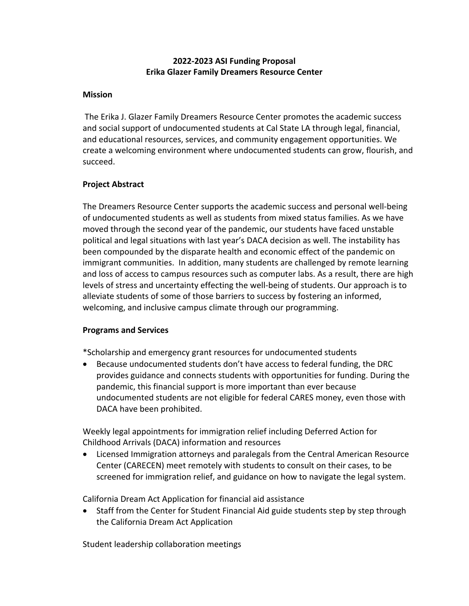# **2022-2023 ASI Funding Proposal Erika Glazer Family Dreamers Resource Center**

## **Mission**

The Erika J. Glazer Family Dreamers Resource Center promotes the academic success and social support of undocumented students at Cal State LA through legal, financial, and educational resources, services, and community engagement opportunities. We create a welcoming environment where undocumented students can grow, flourish, and succeed.

## **Project Abstract**

The Dreamers Resource Center supports the academic success and personal well-being of undocumented students as well as students from mixed status families. As we have moved through the second year of the pandemic, our students have faced unstable political and legal situations with last year's DACA decision as well. The instability has been compounded by the disparate health and economic effect of the pandemic on immigrant communities. In addition, many students are challenged by remote learning and loss of access to campus resources such as computer labs. As a result, there are high levels of stress and uncertainty effecting the well-being of students. Our approach is to alleviate students of some of those barriers to success by fostering an informed, welcoming, and inclusive campus climate through our programming.

# **Programs and Services**

\*Scholarship and emergency grant resources for undocumented students

• Because undocumented students don't have access to federal funding, the DRC provides guidance and connects students with opportunities for funding. During the pandemic, this financial support is more important than ever because undocumented students are not eligible for federal CARES money, even those with DACA have been prohibited.

Weekly legal appointments for immigration relief including Deferred Action for Childhood Arrivals (DACA) information and resources

• Licensed Immigration attorneys and paralegals from the Central American Resource Center (CARECEN) meet remotely with students to consult on their cases, to be screened for immigration relief, and guidance on how to navigate the legal system.

California Dream Act Application for financial aid assistance

• Staff from the Center for Student Financial Aid guide students step by step through the California Dream Act Application

Student leadership collaboration meetings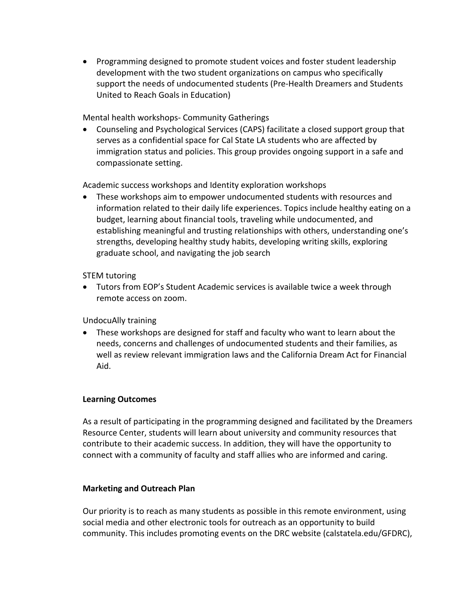• Programming designed to promote student voices and foster student leadership development with the two student organizations on campus who specifically support the needs of undocumented students (Pre-Health Dreamers and Students United to Reach Goals in Education)

Mental health workshops- Community Gatherings

• Counseling and Psychological Services (CAPS) facilitate a closed support group that serves as a confidential space for Cal State LA students who are affected by immigration status and policies. This group provides ongoing support in a safe and compassionate setting.

Academic success workshops and Identity exploration workshops

• These workshops aim to empower undocumented students with resources and information related to their daily life experiences. Topics include healthy eating on a budget, learning about financial tools, traveling while undocumented, and establishing meaningful and trusting relationships with others, understanding one's strengths, developing healthy study habits, developing writing skills, exploring graduate school, and navigating the job search

STEM tutoring

• Tutors from EOP's Student Academic services is available twice a week through remote access on zoom.

UndocuAlly training

• These workshops are designed for staff and faculty who want to learn about the needs, concerns and challenges of undocumented students and their families, as well as review relevant immigration laws and the California Dream Act for Financial Aid.

### **Learning Outcomes**

As a result of participating in the programming designed and facilitated by the Dreamers Resource Center, students will learn about university and community resources that contribute to their academic success. In addition, they will have the opportunity to connect with a community of faculty and staff allies who are informed and caring.

### **Marketing and Outreach Plan**

Our priority is to reach as many students as possible in this remote environment, using social media and other electronic tools for outreach as an opportunity to build community. This includes promoting events on the DRC website (calstatela.edu/GFDRC),